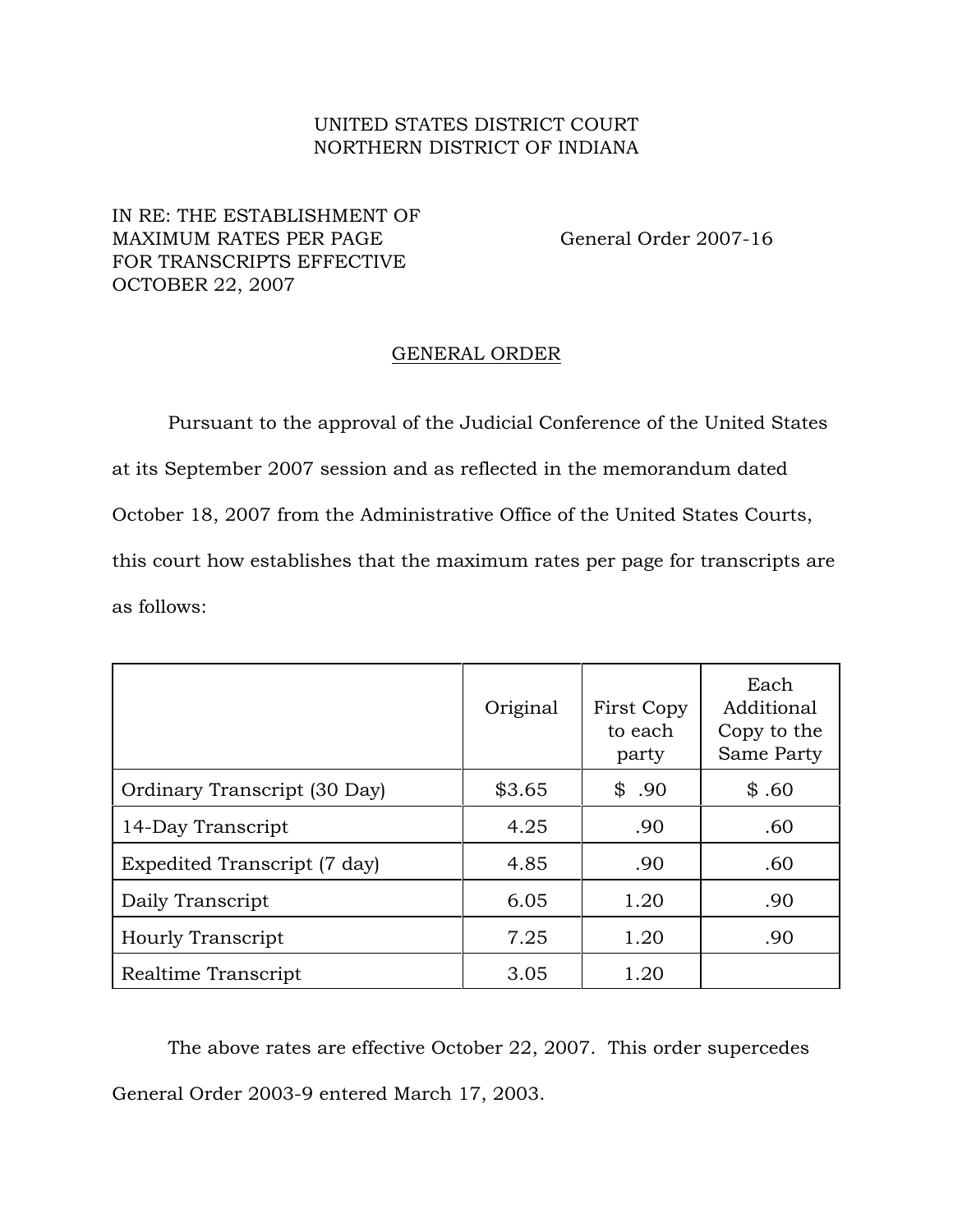## UNITED STATES DISTRICT COURT NORTHERN DISTRICT OF INDIANA

## IN RE: THE ESTABLISHMENT OF MAXIMUM RATES PER PAGE General Order 2007-16 FOR TRANSCRIPTS EFFECTIVE OCTOBER 22, 2007

## GENERAL ORDER

Pursuant to the approval of the Judicial Conference of the United States at its September 2007 session and as reflected in the memorandum dated October 18, 2007 from the Administrative Office of the United States Courts, this court how establishes that the maximum rates per page for transcripts are as follows:

|                              | Original | First Copy<br>to each<br>party | Each<br>Additional<br>Copy to the<br>Same Party |
|------------------------------|----------|--------------------------------|-------------------------------------------------|
| Ordinary Transcript (30 Day) | \$3.65   | \$.90                          | \$.60                                           |
| 14-Day Transcript            | 4.25     | .90                            | .60                                             |
| Expedited Transcript (7 day) | 4.85     | .90                            | .60                                             |
| Daily Transcript             | 6.05     | 1.20                           | .90                                             |
| <b>Hourly Transcript</b>     | 7.25     | 1.20                           | .90                                             |
| Realtime Transcript          | 3.05     | 1.20                           |                                                 |

The above rates are effective October 22, 2007. This order supercedes General Order 2003-9 entered March 17, 2003.